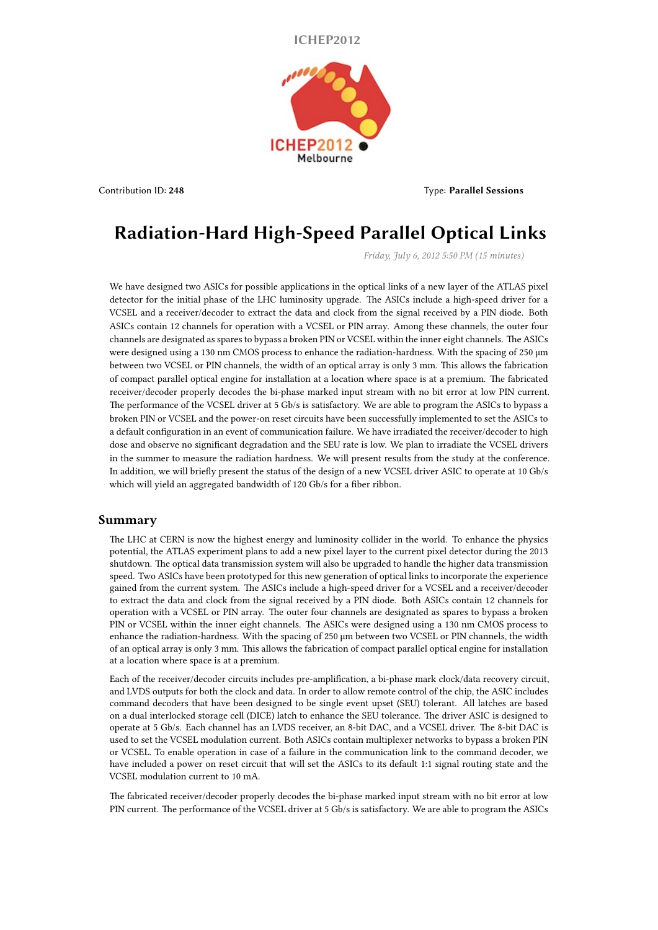**ICHEP2012**



Contribution ID: **248** Type: **Parallel Sessions**

## **Radiation-Hard High-Speed Parallel Optical Links**

*Friday, July 6, 2012 5:50 PM (15 minutes)*

We have designed two ASICs for possible applications in the optical links of a new layer of the ATLAS pixel detector for the initial phase of the LHC luminosity upgrade. The ASICs include a high-speed driver for a VCSEL and a receiver/decoder to extract the data and clock from the signal received by a PIN diode. Both ASICs contain 12 channels for operation with a VCSEL or PIN array. Among these channels, the outer four channels are designated as spares to bypass a broken PIN or VCSEL within the inner eight channels. The ASICs were designed using a 130 nm CMOS process to enhance the radiation-hardness. With the spacing of 250 μm between two VCSEL or PIN channels, the width of an optical array is only 3 mm. This allows the fabrication of compact parallel optical engine for installation at a location where space is at a premium. The fabricated receiver/decoder properly decodes the bi-phase marked input stream with no bit error at low PIN current. The performance of the VCSEL driver at 5 Gb/s is satisfactory. We are able to program the ASICs to bypass a broken PIN or VCSEL and the power-on reset circuits have been successfully implemented to set the ASICs to a default configuration in an event of communication failure. We have irradiated the receiver/decoder to high dose and observe no significant degradation and the SEU rate is low. We plan to irradiate the VCSEL drivers in the summer to measure the radiation hardness. We will present results from the study at the conference. In addition, we will briefly present the status of the design of a new VCSEL driver ASIC to operate at 10 Gb/s which will yield an aggregated bandwidth of 120 Gb/s for a fiber ribbon.

## **Summary**

The LHC at CERN is now the highest energy and luminosity collider in the world. To enhance the physics potential, the ATLAS experiment plans to add a new pixel layer to the current pixel detector during the 2013 shutdown. The optical data transmission system will also be upgraded to handle the higher data transmission speed. Two ASICs have been prototyped for this new generation of optical links to incorporate the experience gained from the current system. The ASICs include a high-speed driver for a VCSEL and a receiver/decoder to extract the data and clock from the signal received by a PIN diode. Both ASICs contain 12 channels for operation with a VCSEL or PIN array. The outer four channels are designated as spares to bypass a broken PIN or VCSEL within the inner eight channels. The ASICs were designed using a 130 nm CMOS process to enhance the radiation-hardness. With the spacing of 250 μm between two VCSEL or PIN channels, the width of an optical array is only 3 mm. This allows the fabrication of compact parallel optical engine for installation at a location where space is at a premium.

Each of the receiver/decoder circuits includes pre-amplification, a bi-phase mark clock/data recovery circuit, and LVDS outputs for both the clock and data. In order to allow remote control of the chip, the ASIC includes command decoders that have been designed to be single event upset (SEU) tolerant. All latches are based on a dual interlocked storage cell (DICE) latch to enhance the SEU tolerance. The driver ASIC is designed to operate at 5 Gb/s. Each channel has an LVDS receiver, an 8-bit DAC, and a VCSEL driver. The 8-bit DAC is used to set the VCSEL modulation current. Both ASICs contain multiplexer networks to bypass a broken PIN or VCSEL. To enable operation in case of a failure in the communication link to the command decoder, we have included a power on reset circuit that will set the ASICs to its default 1:1 signal routing state and the VCSEL modulation current to 10 mA.

The fabricated receiver/decoder properly decodes the bi-phase marked input stream with no bit error at low PIN current. The performance of the VCSEL driver at 5 Gb/s is satisfactory. We are able to program the ASICs